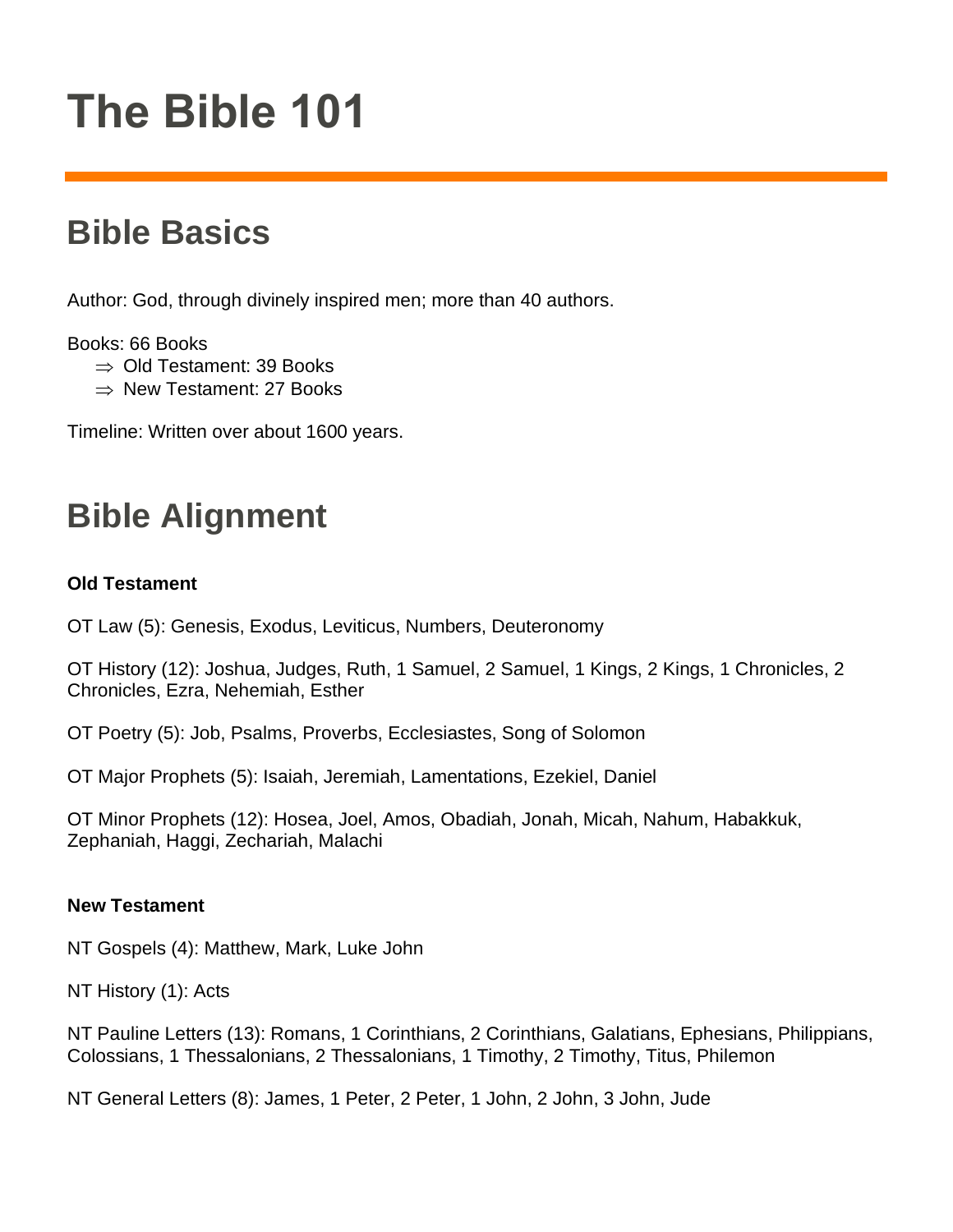# **The Bible 101**

## **Bible Basics**

Author: God, through divinely inspired men; more than 40 authors.

Books: 66 Books

- $\Rightarrow$  Old Testament: 39 Books
- $\Rightarrow$  New Testament: 27 Books

Timeline: Written over about 1600 years.

## **Bible Alignment**

### **Old Testament**

OT Law (5): Genesis, Exodus, Leviticus, Numbers, Deuteronomy

OT History (12): Joshua, Judges, Ruth, 1 Samuel, 2 Samuel, 1 Kings, 2 Kings, 1 Chronicles, 2 Chronicles, Ezra, Nehemiah, Esther

OT Poetry (5): Job, Psalms, Proverbs, Ecclesiastes, Song of Solomon

OT Major Prophets (5): Isaiah, Jeremiah, Lamentations, Ezekiel, Daniel

OT Minor Prophets (12): Hosea, Joel, Amos, Obadiah, Jonah, Micah, Nahum, Habakkuk, Zephaniah, Haggi, Zechariah, Malachi

#### **New Testament**

NT Gospels (4): Matthew, Mark, Luke John

NT History (1): Acts

NT Pauline Letters (13): Romans, 1 Corinthians, 2 Corinthians, Galatians, Ephesians, Philippians, Colossians, 1 Thessalonians, 2 Thessalonians, 1 Timothy, 2 Timothy, Titus, Philemon

NT General Letters (8): James, 1 Peter, 2 Peter, 1 John, 2 John, 3 John, Jude